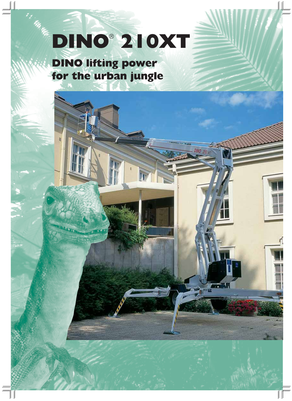## DINO® 210XT

**DINO** 

 $\frac{1}{\ln 2}$ 

for the urban jungl  $f(x) = \frac{1}{2} \left( \frac{1}{2} \right)^{n-1} x^{\frac{n-1}{2}}$